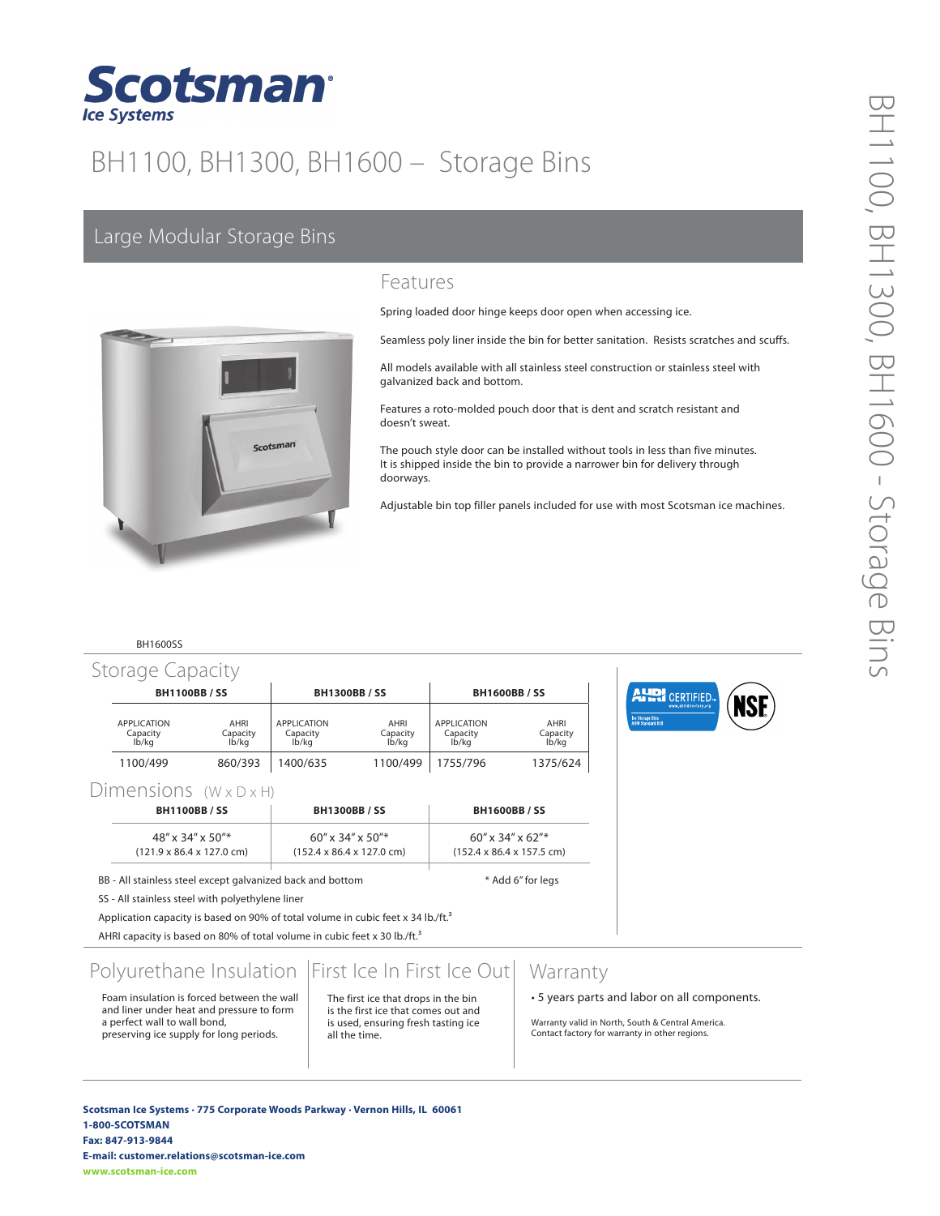

# BH1100, BH1300, BH1600 – Storage Bins

# Large Modular Storage Bins



### Features

Spring loaded door hinge keeps door open when accessing ice.

Seamless poly liner inside the bin for better sanitation. Resists scratches and scuffs.

All models available with all stainless steel construction or stainless steel with galvanized back and bottom.

Features a roto-molded pouch door that is dent and scratch resistant and doesn't sweat.

The pouch style door can be installed without tools in less than five minutes. It is shipped inside the bin to provide a narrower bin for delivery through doorways.

Adjustable bin top filler panels included for use with most Scotsman ice machines.

#### BH1600SS

| <b>BH1100BB/SS</b>                      |                           | <b>BH1300BB/SS</b>                      |                           | <b>BH1600BB/SS</b>               |                           |
|-----------------------------------------|---------------------------|-----------------------------------------|---------------------------|----------------------------------|---------------------------|
| <b>APPLICATION</b><br>Capacity<br>lb/ka | AHRI<br>Capacity<br>lb/ka | <b>APPLICATION</b><br>Capacity<br>lb/ka | AHRI<br>Capacity<br>lb/kg | APPLICATION<br>Capacity<br>lb/ka | AHRI<br>Capacity<br>lb/kg |
| 1100/499                                | 860/393                   | 1400/635                                | 1100/499                  | 1755/796                         | 1375/624                  |



### Dimensions  $(W \times D \times H)$

| <b>BH1100BB/SS</b>                                                                | <b>BH1300BB/SS</b>                                                   | <b>BH1600BB/SS</b>                                                      |  |  |
|-----------------------------------------------------------------------------------|----------------------------------------------------------------------|-------------------------------------------------------------------------|--|--|
| $48'' \times 34'' \times 50''$ *<br>$(121.9 \times 86.4 \times 127.0 \text{ cm})$ | $60''$ x 34" x 50"*<br>$(152.4 \times 86.4 \times 127.0 \text{ cm})$ | $60'' \times 34'' \times 62''$<br>$(152.4 \times 86.4 \times 157.5$ cm) |  |  |
|                                                                                   |                                                                      |                                                                         |  |  |

BB - All stainless steel except galvanized back and bottom \* \* Add 6" for legs

SS - All stainless steel with polyethylene liner

Application capacity is based on 90% of total volume in cubic feet x 34 lb./ft. $^3$ 

AHRI capacity is based on 80% of total volume in cubic feet x 30 lb./ft.<sup>3</sup>

# Polyurethane Insulation | First Ice In First Ice Out

Foam insulation is forced between the wall and liner under heat and pressure to form a perfect wall to wall bond, preserving ice supply for long periods.

#### The first ice that drops in the bin is the first ice that comes out and

is used, ensuring fresh tasting ice all the time.

## **Warranty**

• 5 years parts and labor on all components.

Warranty valid in North, South & Central America. Contact factory for warranty in other regions.

**Scotsman Ice Systems** • **775 Corporate Woods Parkway** • **Vernon Hills, IL 60061 1-800-SCOTSMAN Fax: 847-913-9844 E-mail: customer.relations@scotsman-ice.com www.scotsman-ice.com**